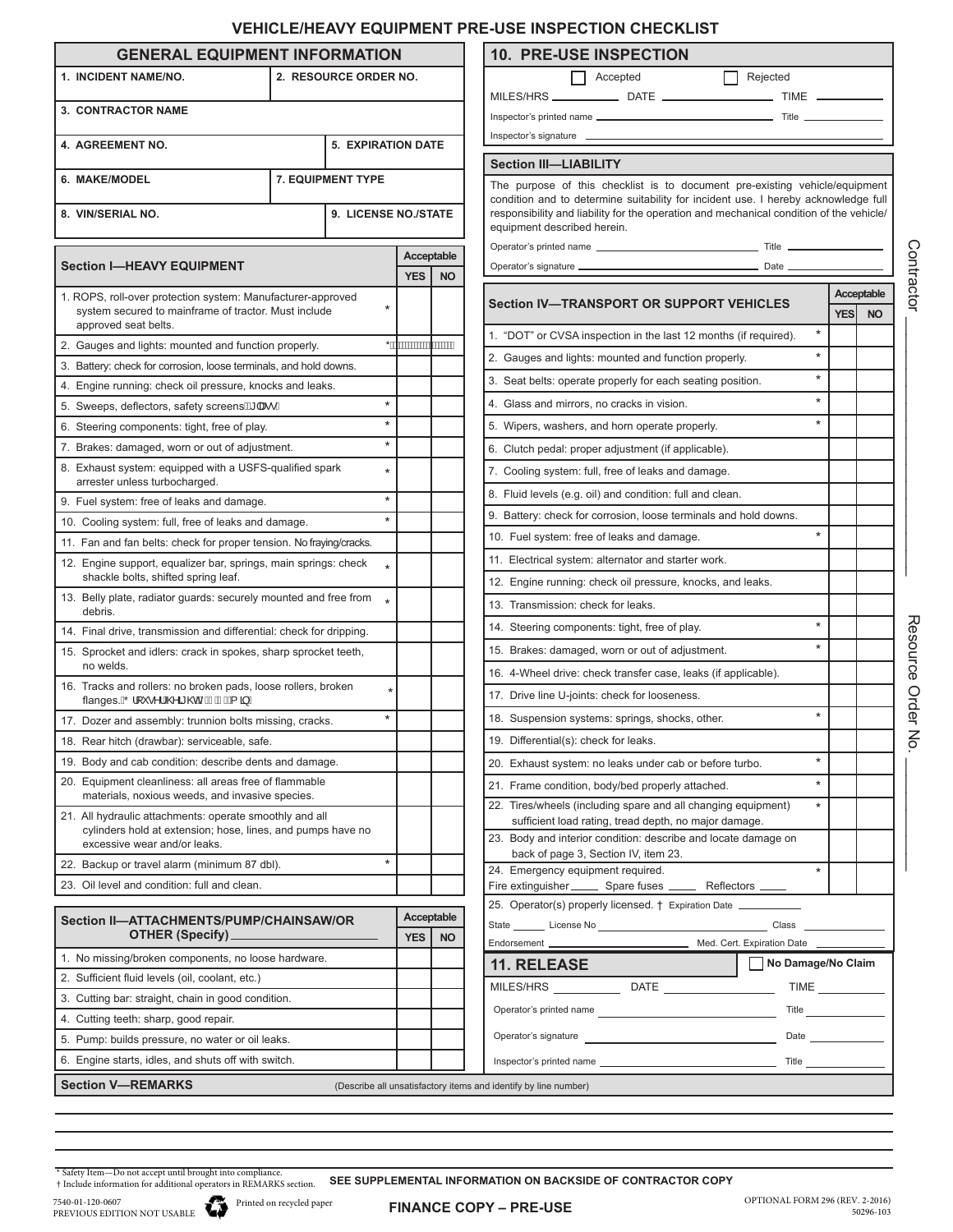## **VEHICLE/HEAVY EQUIPMENT PRE-USE INSPECTION CHECKLIST**

|                                                                                                                                                        |  |  |                     |           |                                                                                                                                                                   | VENIVLE/NEAV I EQUIFIVIEN I FRE-USE INSFEVTIUN UNEURLIST                                                                                                                                               |            |            |
|--------------------------------------------------------------------------------------------------------------------------------------------------------|--|--|---------------------|-----------|-------------------------------------------------------------------------------------------------------------------------------------------------------------------|--------------------------------------------------------------------------------------------------------------------------------------------------------------------------------------------------------|------------|------------|
| <b>GENERAL EQUIPMENT INFORMATION</b>                                                                                                                   |  |  |                     |           |                                                                                                                                                                   | <b>10. PRE-USE INSPECTION</b>                                                                                                                                                                          |            |            |
| 2. RESOURCE ORDER NO.<br>1. INCIDENT NAME/NO.                                                                                                          |  |  |                     |           | Accepted<br>Rejected<br>$\Box$                                                                                                                                    |                                                                                                                                                                                                        |            |            |
| 3. CONTRACTOR NAME                                                                                                                                     |  |  |                     |           |                                                                                                                                                                   |                                                                                                                                                                                                        |            |            |
|                                                                                                                                                        |  |  |                     |           |                                                                                                                                                                   |                                                                                                                                                                                                        |            |            |
| 4. AGREEMENT NO.<br><b>5. EXPIRATION DATE</b><br>7. EQUIPMENT TYPE<br>6. MAKE/MODEL                                                                    |  |  |                     |           |                                                                                                                                                                   |                                                                                                                                                                                                        |            |            |
|                                                                                                                                                        |  |  |                     |           | <b>Section III-LIABILITY</b>                                                                                                                                      |                                                                                                                                                                                                        |            |            |
|                                                                                                                                                        |  |  |                     |           | The purpose of this checklist is to document pre-existing vehicle/equipment<br>condition and to determine suitability for incident use. I hereby acknowledge full |                                                                                                                                                                                                        |            |            |
| 9. LICENSE NO./STATE<br>8. VIN/SERIAL NO.                                                                                                              |  |  |                     |           | responsibility and liability for the operation and mechanical condition of the vehicle/<br>equipment described herein.                                            |                                                                                                                                                                                                        |            |            |
|                                                                                                                                                        |  |  |                     |           |                                                                                                                                                                   |                                                                                                                                                                                                        |            |            |
| Acceptable<br><b>Section I-HEAVY EQUIPMENT</b><br><b>YES</b><br><b>NO</b>                                                                              |  |  |                     |           |                                                                                                                                                                   |                                                                                                                                                                                                        |            |            |
| 1. ROPS, roll-over protection system: Manufacturer-approved                                                                                            |  |  |                     |           |                                                                                                                                                                   |                                                                                                                                                                                                        |            | Acceptable |
| system secured to mainframe of tractor. Must include                                                                                                   |  |  |                     |           |                                                                                                                                                                   | <b>Section IV—TRANSPORT OR SUPPORT VEHICLES</b>                                                                                                                                                        | <b>YES</b> | <b>NO</b>  |
| approved seat belts.                                                                                                                                   |  |  |                     |           |                                                                                                                                                                   | $^{\star}$<br>1. "DOT" or CVSA inspection in the last 12 months (if required).                                                                                                                         |            |            |
| 2. Gauges and lights: mounted and function properly.                                                                                                   |  |  | *AKKKKKKKKKKKKKKKKK |           |                                                                                                                                                                   | 2. Gauges and lights: mounted and function properly.                                                                                                                                                   |            |            |
| 3. Battery: check for corrosion, loose terminals, and hold downs.                                                                                      |  |  |                     |           |                                                                                                                                                                   | $\star$<br>3. Seat belts: operate properly for each seating position.                                                                                                                                  |            |            |
| 4. Engine running: check oil pressure, knocks and leaks.<br>$\star$                                                                                    |  |  |                     |           |                                                                                                                                                                   | $\star$<br>4. Glass and mirrors, no cracks in vision.                                                                                                                                                  |            |            |
| 5. Sweeps, deflectors, safety screens $\mathbb{\hat{B}}$   $\mathbb{R}\bullet\mathbb{\hat{E}}$<br>$\star$                                              |  |  |                     |           |                                                                                                                                                                   | $\star$                                                                                                                                                                                                |            |            |
| 6. Steering components: tight, free of play.                                                                                                           |  |  | $\star$             |           |                                                                                                                                                                   | 5. Wipers, washers, and horn operate properly.                                                                                                                                                         |            |            |
| 7. Brakes: damaged, worn or out of adjustment.<br>8. Exhaust system: equipped with a USFS-qualified spark                                              |  |  |                     |           |                                                                                                                                                                   | 6. Clutch pedal: proper adjustment (if applicable).                                                                                                                                                    |            |            |
| arrester unless turbocharged.                                                                                                                          |  |  | $\star$             |           |                                                                                                                                                                   | 7. Cooling system: full, free of leaks and damage.                                                                                                                                                     |            |            |
| $\star$<br>9. Fuel system: free of leaks and damage.                                                                                                   |  |  |                     |           |                                                                                                                                                                   | 8. Fluid levels (e.g. oil) and condition: full and clean.                                                                                                                                              |            |            |
| $\star$<br>10. Cooling system: full, free of leaks and damage.                                                                                         |  |  |                     |           |                                                                                                                                                                   | 9. Battery: check for corrosion, loose terminals and hold downs.                                                                                                                                       |            |            |
| 11. Fan and fan belts: check for proper tension. No fraying/cracks.                                                                                    |  |  |                     |           |                                                                                                                                                                   | $\star$<br>10. Fuel system: free of leaks and damage.                                                                                                                                                  |            |            |
| 12. Engine support, equalizer bar, springs, main springs: check<br>shackle bolts, shifted spring leaf.                                                 |  |  |                     |           |                                                                                                                                                                   | 11. Electrical system: alternator and starter work.                                                                                                                                                    |            |            |
| 13. Belly plate, radiator guards: securely mounted and free from $\ast$                                                                                |  |  |                     |           |                                                                                                                                                                   | 12. Engine running: check oil pressure, knocks, and leaks.                                                                                                                                             |            |            |
| debris.                                                                                                                                                |  |  |                     |           |                                                                                                                                                                   | 13. Transmission: check for leaks.                                                                                                                                                                     |            |            |
| 14. Final drive, transmission and differential: check for dripping.                                                                                    |  |  |                     |           |                                                                                                                                                                   | $\star$<br>14. Steering components: tight, free of play.                                                                                                                                               |            |            |
| 15. Sprocket and idlers: crack in spokes, sharp sprocket teeth,<br>no welds.                                                                           |  |  |                     |           |                                                                                                                                                                   | $\star$<br>15. Brakes: damaged, worn or out of adjustment.                                                                                                                                             |            |            |
| 16. Tracks and rollers: no broken pads, loose rollers, broken                                                                                          |  |  |                     |           | 16. 4-Wheel drive: check transfer case, leaks (if applicable).                                                                                                    |                                                                                                                                                                                                        |            |            |
| flanges. AO '  ` • ^ ¦ AO a @ AFE FED AA a È                                                                                                           |  |  |                     |           |                                                                                                                                                                   | 17. Drive line U-joints: check for looseness.                                                                                                                                                          |            |            |
| 17. Dozer and assembly: trunnion bolts missing, cracks.                                                                                                |  |  | $\star$             |           |                                                                                                                                                                   | $\star$<br>18. Suspension systems: springs, shocks, other.                                                                                                                                             |            |            |
| 18. Rear hitch (drawbar): serviceable, safe.                                                                                                           |  |  |                     |           |                                                                                                                                                                   | 19. Differential(s): check for leaks.                                                                                                                                                                  |            |            |
| 19. Body and cab condition: describe dents and damage.                                                                                                 |  |  |                     |           |                                                                                                                                                                   | $\star$<br>20. Exhaust system: no leaks under cab or before turbo.                                                                                                                                     |            |            |
| 20. Equipment cleanliness: all areas free of flammable<br>materials, noxious weeds, and invasive species.                                              |  |  |                     |           |                                                                                                                                                                   | $\star$<br>21. Frame condition, body/bed properly attached.                                                                                                                                            |            |            |
| 21. All hydraulic attachments: operate smoothly and all<br>cylinders hold at extension; hose, lines, and pumps have no<br>excessive wear and/or leaks. |  |  |                     |           |                                                                                                                                                                   | 22. Tires/wheels (including spare and all changing equipment)<br>$^{\star}$<br>sufficient load rating, tread depth, no major damage.<br>23. Body and interior condition: describe and locate damage on |            |            |
| 22. Backup or travel alarm (minimum 87 dbl).                                                                                                           |  |  | $\star$             |           |                                                                                                                                                                   | back of page 3, Section IV, item 23.<br>24. Emergency equipment required.<br>$\star$                                                                                                                   |            |            |
| 23. Oil level and condition: full and clean.                                                                                                           |  |  |                     |           |                                                                                                                                                                   | Fire extinguisher ________ Spare fuses ________ Reflectors ______                                                                                                                                      |            |            |
|                                                                                                                                                        |  |  |                     |           |                                                                                                                                                                   | 25. Operator(s) properly licensed. † Expiration Date ___________                                                                                                                                       |            |            |
| Section II-ATTACHMENTS/PUMP/CHAINSAW/OR<br>OTHER (Specify)_                                                                                            |  |  | Acceptable          |           |                                                                                                                                                                   |                                                                                                                                                                                                        |            |            |
|                                                                                                                                                        |  |  | <b>YES</b>          | <b>NO</b> |                                                                                                                                                                   |                                                                                                                                                                                                        |            |            |
| 1. No missing/broken components, no loose hardware.                                                                                                    |  |  |                     |           |                                                                                                                                                                   | No Damage/No Claim<br>11. RELEASE                                                                                                                                                                      |            |            |
| 2. Sufficient fluid levels (oil, coolant, etc.)<br>3. Cutting bar: straight, chain in good condition.                                                  |  |  |                     |           |                                                                                                                                                                   | MILES/HRS _________________DATE __________________________TIME _________________                                                                                                                       |            |            |
|                                                                                                                                                        |  |  |                     |           |                                                                                                                                                                   |                                                                                                                                                                                                        |            |            |
| 4. Cutting teeth: sharp, good repair.                                                                                                                  |  |  |                     |           |                                                                                                                                                                   |                                                                                                                                                                                                        |            |            |
| 5. Pump: builds pressure, no water or oil leaks.                                                                                                       |  |  |                     |           |                                                                                                                                                                   |                                                                                                                                                                                                        |            |            |
| 6. Engine starts, idles, and shuts off with switch.                                                                                                    |  |  |                     |           |                                                                                                                                                                   |                                                                                                                                                                                                        |            |            |

Resource Order No. Resource Order No. \_\_\_\_\_\_\_\_\_\_\_\_\_

\* Safety Item—Do not accept until brought into compliance.<br>† Include information for additional operators in REMARKS section. **SEE SUPPLEMENTAL INFORMATION ON BACKSIDE OF CONTRACTOR COPY**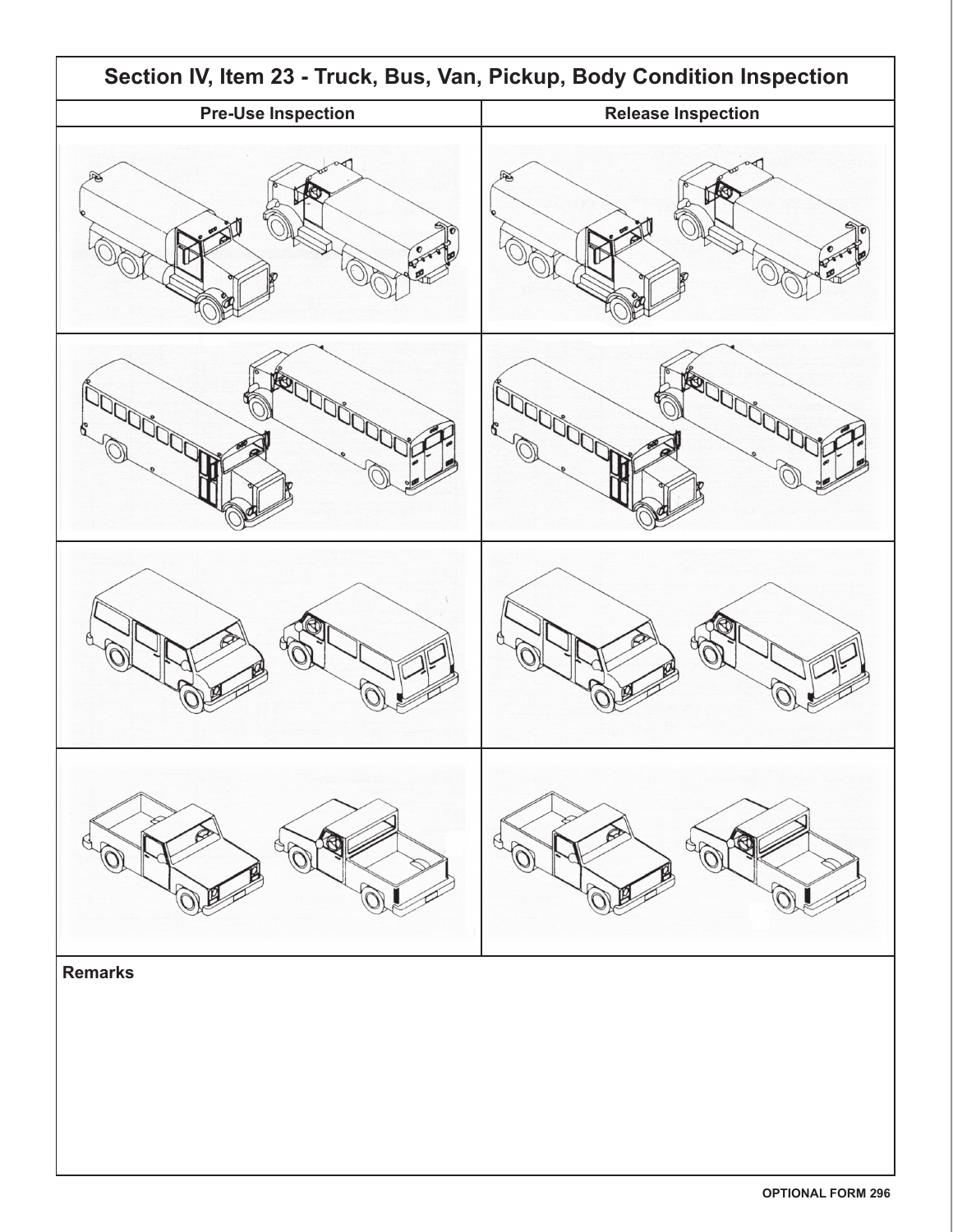